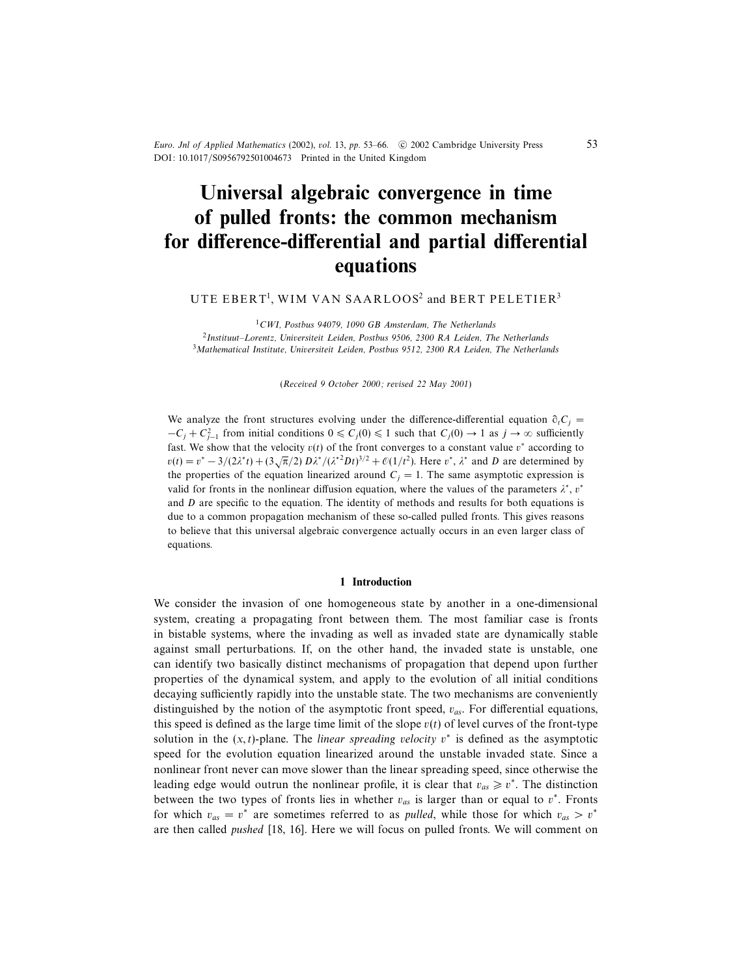Euro. Jnl of Applied Mathematics (2002), vol. 13, pp. 53-66.  $\circ$  2002 Cambridge University Press DOI: 10.1017/S0956792501004673 Printed in the United Kingdom

# Universal algebraic convergence in time of pulled fronts: the common mechanism for difference-differential and partial differential equations

## UTE  $\tt{EBERT^1, WIM}$   $VAN\ SAARLOOS^2$  and  $\t{BERT}\ PELETIER^3$

 $1$ CWI, Postbus 94079, 1090 GB Amsterdam, The Netherlands 2 Instituut–Lorentz, Universiteit Leiden, Postbus 9506, 2300 RA Leiden, The Netherlands  $3$ Mathematical Institute, Universiteit Leiden, Postbus 9512, 2300 RA Leiden, The Netherlands

(Received 9 October 2000; revised 22 May 2001)

We analyze the front structures evolving under the difference-differential equation  $\partial_t C_i$  =  $-C_j + C_{j-1}^2$  from initial conditions  $0 \le C_j(0) \le 1$  such that  $C_j(0) \to 1$  as  $j \to \infty$  sufficiently fast. We show that the velocity  $v(t)$  of the front converges to a constant value  $v^*$  according to  $v(t) = v^* - 3/(2\lambda^* t) + (3\sqrt{\pi}/2) D\lambda^* / (\lambda^{*2} Dt)^{3/2} + \mathcal{O}(1/t^2)$ . Here  $v^*$ ,  $\lambda^*$  and D are determined by the properties of the equation linearized around  $C_j = 1$ . The same asymptotic expression is valid for fronts in the nonlinear diffusion equation, where the values of the parameters  $\lambda^*$ ,  $v^*$ and  $D$  are specific to the equation. The identity of methods and results for both equations is due to a common propagation mechanism of these so-called pulled fronts. This gives reasons to believe that this universal algebraic convergence actually occurs in an even larger class of equations.

## 1 Introduction

We consider the invasion of one homogeneous state by another in a one-dimensional system, creating a propagating front between them. The most familiar case is fronts in bistable systems, where the invading as well as invaded state are dynamically stable against small perturbations. If, on the other hand, the invaded state is unstable, one can identify two basically distinct mechanisms of propagation that depend upon further properties of the dynamical system, and apply to the evolution of all initial conditions decaying sufficiently rapidly into the unstable state. The two mechanisms are conveniently distinguished by the notion of the asymptotic front speed,  $v_{as}$ . For differential equations, this speed is defined as the large time limit of the slope  $v(t)$  of level curves of the front-type solution in the  $(x, t)$ -plane. The *linear spreading velocity*  $v^*$  is defined as the asymptotic speed for the evolution equation linearized around the unstable invaded state. Since a nonlinear front never can move slower than the linear spreading speed, since otherwise the leading edge would outrun the nonlinear profile, it is clear that  $v_{as} \ge v^*$ . The distinction between the two types of fronts lies in whether  $v_{as}$  is larger than or equal to  $v^*$ . Fronts for which  $v_{as} = v^*$  are sometimes referred to as *pulled*, while those for which  $v_{as} > v^*$ are then called pushed [18, 16]. Here we will focus on pulled fronts. We will comment on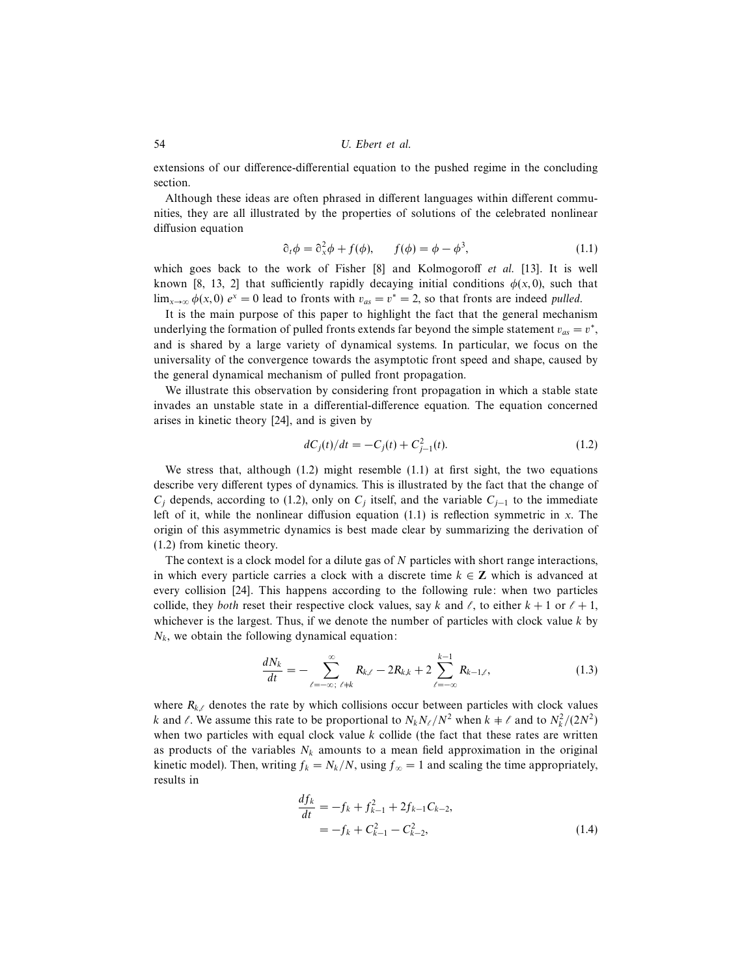extensions of our difference-differential equation to the pushed regime in the concluding section.

Although these ideas are often phrased in different languages within different communities, they are all illustrated by the properties of solutions of the celebrated nonlinear diffusion equation

$$
\partial_t \phi = \partial_x^2 \phi + f(\phi), \qquad f(\phi) = \phi - \phi^3,\tag{1.1}
$$

which goes back to the work of Fisher [8] and Kolmogoroff et al. [13]. It is well known [8, 13, 2] that sufficiently rapidly decaying initial conditions  $\phi(x, 0)$ , such that  $\lim_{x\to\infty} \phi(x,0) e^x = 0$  lead to fronts with  $v_{as} = v^* = 2$ , so that fronts are indeed *pulled*.

It is the main purpose of this paper to highlight the fact that the general mechanism underlying the formation of pulled fronts extends far beyond the simple statement  $v_{as} = v^*$ , and is shared by a large variety of dynamical systems. In particular, we focus on the universality of the convergence towards the asymptotic front speed and shape, caused by the general dynamical mechanism of pulled front propagation.

We illustrate this observation by considering front propagation in which a stable state invades an unstable state in a differential-difference equation. The equation concerned arises in kinetic theory [24], and is given by

$$
dC_j(t)/dt = -C_j(t) + C_{j-1}^2(t).
$$
\n(1.2)

We stress that, although  $(1.2)$  might resemble  $(1.1)$  at first sight, the two equations describe very different types of dynamics. This is illustrated by the fact that the change of  $C_j$  depends, according to (1.2), only on  $C_j$  itself, and the variable  $C_{j-1}$  to the immediate left of it, while the nonlinear diffusion equation  $(1.1)$  is reflection symmetric in x. The origin of this asymmetric dynamics is best made clear by summarizing the derivation of (1.2) from kinetic theory.

The context is a clock model for a dilute gas of  $N$  particles with short range interactions, in which every particle carries a clock with a discrete time  $k \in \mathbb{Z}$  which is advanced at every collision [24]. This happens according to the following rule: when two particles collide, they both reset their respective clock values, say k and  $\ell$ , to either  $k + 1$  or  $\ell + 1$ , whichever is the largest. Thus, if we denote the number of particles with clock value  $k$  by  $N_k$ , we obtain the following dynamical equation:

$$
\frac{dN_k}{dt} = -\sum_{\ell=-\infty,\ \ell\neq k}^{\infty} R_{k,\ell} - 2R_{k,k} + 2\sum_{\ell=-\infty}^{k-1} R_{k-1,\ell},\tag{1.3}
$$

where  $R_{k,\ell}$  denotes the rate by which collisions occur between particles with clock values k and  $\ell$ . We assume this rate to be proportional to  $N_k N_\ell / N^2$  when  $k \neq \ell$  and to  $N_k^2 / (2N^2)$ when two particles with equal clock value  $k$  collide (the fact that these rates are written as products of the variables  $N_k$  amounts to a mean field approximation in the original kinetic model). Then, writing  $f_k = N_k/N$ , using  $f_\infty = 1$  and scaling the time appropriately, results in

$$
\frac{df_k}{dt} = -f_k + f_{k-1}^2 + 2f_{k-1}C_{k-2},
$$
  
=  $-f_k + C_{k-1}^2 - C_{k-2}^2,$  (1.4)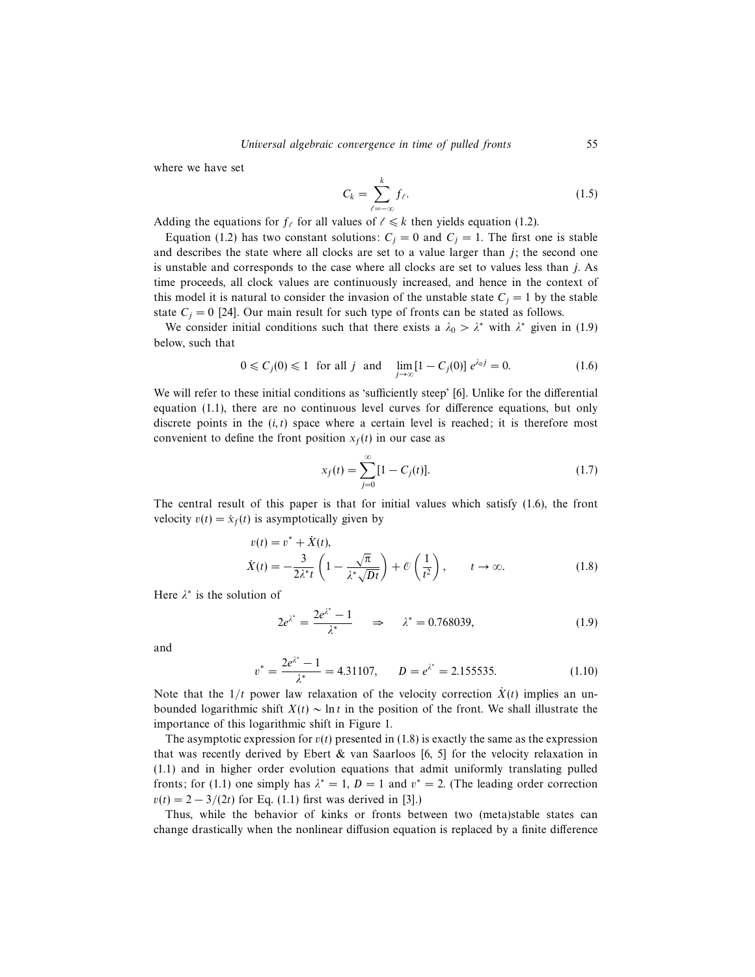where we have set

$$
C_k = \sum_{\ell=-\infty}^k f_\ell. \tag{1.5}
$$

Adding the equations for  $f_\ell$  for all values of  $\ell \leq k$  then yields equation (1.2).

Equation (1.2) has two constant solutions:  $C_j = 0$  and  $C_j = 1$ . The first one is stable and describes the state where all clocks are set to a value larger than  $j$ ; the second one is unstable and corresponds to the case where all clocks are set to values less than j. As time proceeds, all clock values are continuously increased, and hence in the context of this model it is natural to consider the invasion of the unstable state  $C_j = 1$  by the stable state  $C_i = 0$  [24]. Our main result for such type of fronts can be stated as follows.

We consider initial conditions such that there exists a  $\lambda_0 > \lambda^*$  with  $\lambda^*$  given in (1.9) below, such that

$$
0 \leq C_j(0) \leq 1 \quad \text{for all } j \quad \text{and} \quad \lim_{j \to \infty} [1 - C_j(0)] \ e^{\lambda_0 j} = 0. \tag{1.6}
$$

We will refer to these initial conditions as 'sufficiently steep' [6]. Unlike for the differential equation (1.1), there are no continuous level curves for difference equations, but only discrete points in the  $(i, t)$  space where a certain level is reached; it is therefore most convenient to define the front position  $x_f(t)$  in our case as

$$
x_f(t) = \sum_{j=0}^{\infty} [1 - C_j(t)].
$$
\n(1.7)

The central result of this paper is that for initial values which satisfy (1.6), the front velocity  $v(t) = \dot{x}_f(t)$  is asymptotically given by

$$
v(t) = v^* + \dot{X}(t),
$$
  
\n
$$
\dot{X}(t) = -\frac{3}{2\lambda^* t} \left( 1 - \frac{\sqrt{\pi}}{\lambda^* \sqrt{Dt}} \right) + \mathcal{O}\left(\frac{1}{t^2}\right), \qquad t \to \infty.
$$
\n(1.8)

Here  $\lambda^*$  is the solution of

$$
2e^{\lambda^*} = \frac{2e^{\lambda^*} - 1}{\lambda^*} \quad \Rightarrow \quad \lambda^* = 0.768039,\tag{1.9}
$$

and

$$
v^* = \frac{2e^{\lambda^*} - 1}{\lambda^*} = 4.31107, \qquad D = e^{\lambda^*} = 2.155535. \tag{1.10}
$$

Note that the  $1/t$  power law relaxation of the velocity correction  $\dot{X}(t)$  implies an unbounded logarithmic shift  $X(t) \sim \ln t$  in the position of the front. We shall illustrate the importance of this logarithmic shift in Figure 1.

The asymptotic expression for  $v(t)$  presented in (1.8) is exactly the same as the expression that was recently derived by Ebert  $\&$  van Saarloos [6, 5] for the velocity relaxation in (1.1) and in higher order evolution equations that admit uniformly translating pulled fronts; for (1.1) one simply has  $\lambda^* = 1$ ,  $D = 1$  and  $v^* = 2$ . (The leading order correction  $v(t) = 2 - 3/(2t)$  for Eq. (1.1) first was derived in [3].)

Thus, while the behavior of kinks or fronts between two (meta)stable states can change drastically when the nonlinear diffusion equation is replaced by a finite difference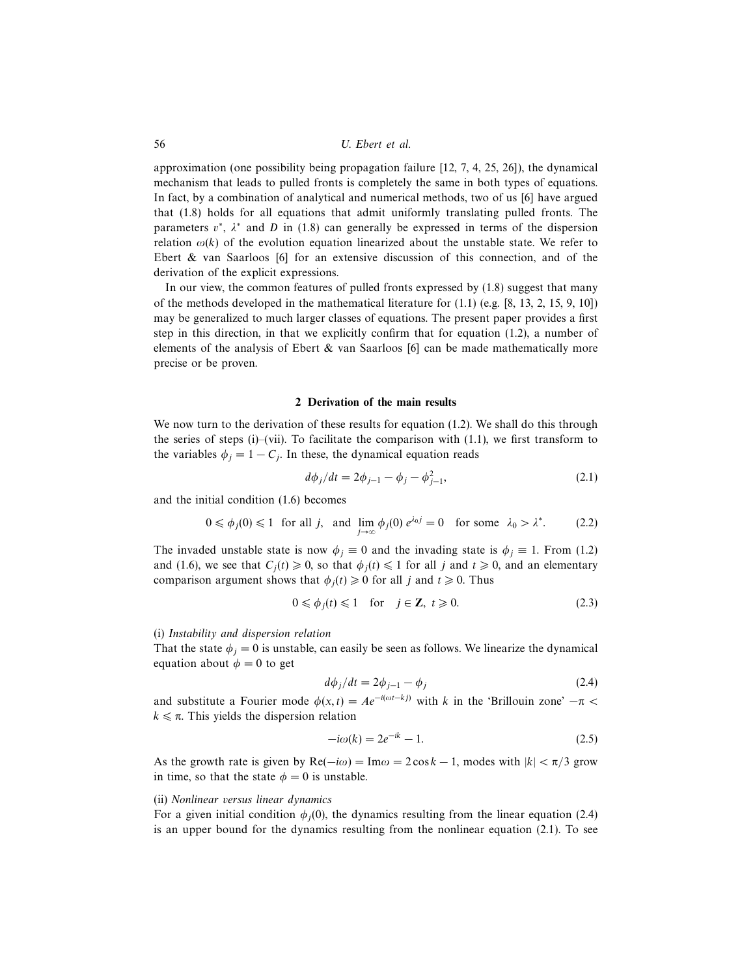approximation (one possibility being propagation failure [12, 7, 4, 25, 26]), the dynamical mechanism that leads to pulled fronts is completely the same in both types of equations. In fact, by a combination of analytical and numerical methods, two of us [6] have argued that (1.8) holds for all equations that admit uniformly translating pulled fronts. The parameters  $v^*$ ,  $\lambda^*$  and D in (1.8) can generally be expressed in terms of the dispersion relation  $\omega(k)$  of the evolution equation linearized about the unstable state. We refer to Ebert & van Saarloos [6] for an extensive discussion of this connection, and of the derivation of the explicit expressions.

In our view, the common features of pulled fronts expressed by (1.8) suggest that many of the methods developed in the mathematical literature for  $(1.1)$  (e.g.  $[8, 13, 2, 15, 9, 10]$ ) may be generalized to much larger classes of equations. The present paper provides a first step in this direction, in that we explicitly confirm that for equation (1.2), a number of elements of the analysis of Ebert  $\&$  van Saarloos [6] can be made mathematically more precise or be proven.

## 2 Derivation of the main results

We now turn to the derivation of these results for equation (1.2). We shall do this through the series of steps  $(i)$ –(vii). To facilitate the comparison with  $(1.1)$ , we first transform to the variables  $\phi_j = 1 - C_j$ . In these, the dynamical equation reads

$$
d\phi_j/dt = 2\phi_{j-1} - \phi_j - \phi_{j-1}^2,
$$
\n(2.1)

and the initial condition (1.6) becomes

$$
0 \leq \phi_j(0) \leq 1 \text{ for all } j, \text{ and } \lim_{j \to \infty} \phi_j(0) e^{\lambda_0 j} = 0 \text{ for some } \lambda_0 > \lambda^*.
$$
 (2.2)

The invaded unstable state is now  $\phi_j \equiv 0$  and the invading state is  $\phi_j \equiv 1$ . From (1.2) and (1.6), we see that  $C_i(t) \ge 0$ , so that  $\phi_i(t) \le 1$  for all j and  $t \ge 0$ , and an elementary comparison argument shows that  $\phi_i(t) \geq 0$  for all j and  $t \geq 0$ . Thus

$$
0 \le \phi_j(t) \le 1 \quad \text{for} \quad j \in \mathbb{Z}, \ t \ge 0. \tag{2.3}
$$

#### (i) Instability and dispersion relation

That the state  $\phi_j = 0$  is unstable, can easily be seen as follows. We linearize the dynamical equation about  $\phi = 0$  to get

$$
d\phi_j/dt = 2\phi_{j-1} - \phi_j \tag{2.4}
$$

and substitute a Fourier mode  $\phi(x, t) = Ae^{-i(\omega t - k\hat{j})}$  with k in the 'Brillouin zone'  $-\pi <$  $k \leq \pi$ . This yields the dispersion relation

$$
-i\omega(k) = 2e^{-ik} - 1.
$$
 (2.5)

As the growth rate is given by  $\text{Re}(-i\omega) = \text{Im}\omega = 2\cos k - 1$ , modes with  $|k| < \pi/3$  grow in time, so that the state  $\phi = 0$  is unstable.

## (ii) Nonlinear versus linear dynamics

For a given initial condition  $\phi_i(0)$ , the dynamics resulting from the linear equation (2.4) is an upper bound for the dynamics resulting from the nonlinear equation (2.1). To see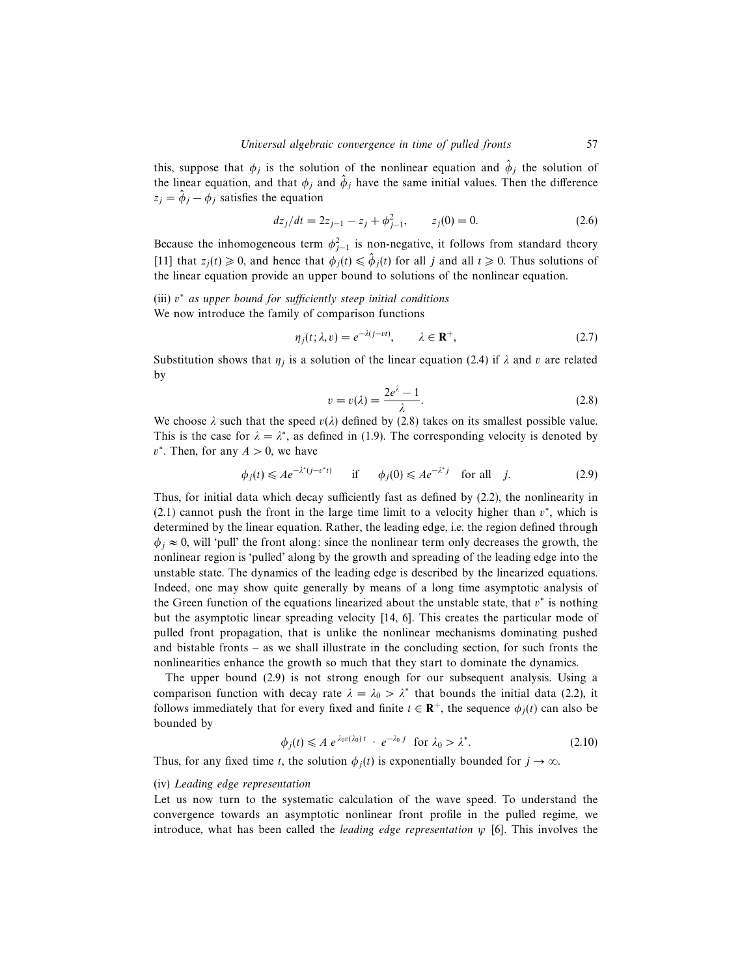this, suppose that  $\phi_j$  is the solution of the nonlinear equation and  $\hat{\phi}_j$  the solution of the linear equation, and that  $\phi_j$  and  $\hat{\phi}_j$  have the same initial values. Then the difference  $z_j = \hat{\phi}_j - \phi_j$  satisfies the equation

$$
dz_j/dt = 2z_{j-1} - z_j + \phi_{j-1}^2, \qquad z_j(0) = 0.
$$
 (2.6)

Because the inhomogeneous term  $\phi_{j-1}^2$  is non-negative, it follows from standard theory [11] that  $z_j(t) \ge 0$ , and hence that  $\phi_j(t) \le \hat{\phi}_j(t)$  for all j and all  $t \ge 0$ . Thus solutions of the linear equation provide an upper bound to solutions of the nonlinear equation.

# (iii)  $v^*$  as upper bound for sufficiently steep initial conditions We now introduce the family of comparison functions

$$
\eta_j(t; \lambda, v) = e^{-\lambda(j - vt)}, \qquad \lambda \in \mathbf{R}^+, \tag{2.7}
$$

Substitution shows that  $\eta_j$  is a solution of the linear equation (2.4) if  $\lambda$  and v are related by

$$
v = v(\lambda) = \frac{2e^{\lambda} - 1}{\lambda}.
$$
\n(2.8)

We choose  $\lambda$  such that the speed  $v(\lambda)$  defined by (2.8) takes on its smallest possible value. This is the case for  $\lambda = \lambda^*$ , as defined in (1.9). The corresponding velocity is denoted by  $v^*$ . Then, for any  $A > 0$ , we have

$$
\phi_j(t) \leqslant A e^{-\lambda^*(j - v^*t)} \qquad \text{if} \qquad \phi_j(0) \leqslant A e^{-\lambda^*j} \quad \text{for all} \quad j. \tag{2.9}
$$

Thus, for initial data which decay sufficiently fast as defined by (2.2), the nonlinearity in  $(2.1)$  cannot push the front in the large time limit to a velocity higher than  $v^*$ , which is determined by the linear equation. Rather, the leading edge, i.e. the region defined through  $\phi_i \approx 0$ , will 'pull' the front along: since the nonlinear term only decreases the growth, the nonlinear region is 'pulled' along by the growth and spreading of the leading edge into the unstable state. The dynamics of the leading edge is described by the linearized equations. Indeed, one may show quite generally by means of a long time asymptotic analysis of the Green function of the equations linearized about the unstable state, that  $v^*$  is nothing but the asymptotic linear spreading velocity [14, 6]. This creates the particular mode of pulled front propagation, that is unlike the nonlinear mechanisms dominating pushed and bistable fronts – as we shall illustrate in the concluding section, for such fronts the nonlinearities enhance the growth so much that they start to dominate the dynamics.

The upper bound (2.9) is not strong enough for our subsequent analysis. Using a comparison function with decay rate  $\lambda = \lambda_0 > \lambda^*$  that bounds the initial data (2.2), it follows immediately that for every fixed and finite  $t \in \mathbf{R}^+$ , the sequence  $\phi_j(t)$  can also be bounded by

$$
\phi_j(t) \leq A \ e^{\lambda_0 v(\lambda_0)t} \cdot e^{-\lambda_0 j} \quad \text{for } \lambda_0 > \lambda^*.
$$
 (2.10)

Thus, for any fixed time t, the solution  $\phi_i(t)$  is exponentially bounded for  $j \to \infty$ .

### (iv) Leading edge representation

Let us now turn to the systematic calculation of the wave speed. To understand the convergence towards an asymptotic nonlinear front profile in the pulled regime, we introduce, what has been called the *leading edge representation*  $\psi$  [6]. This involves the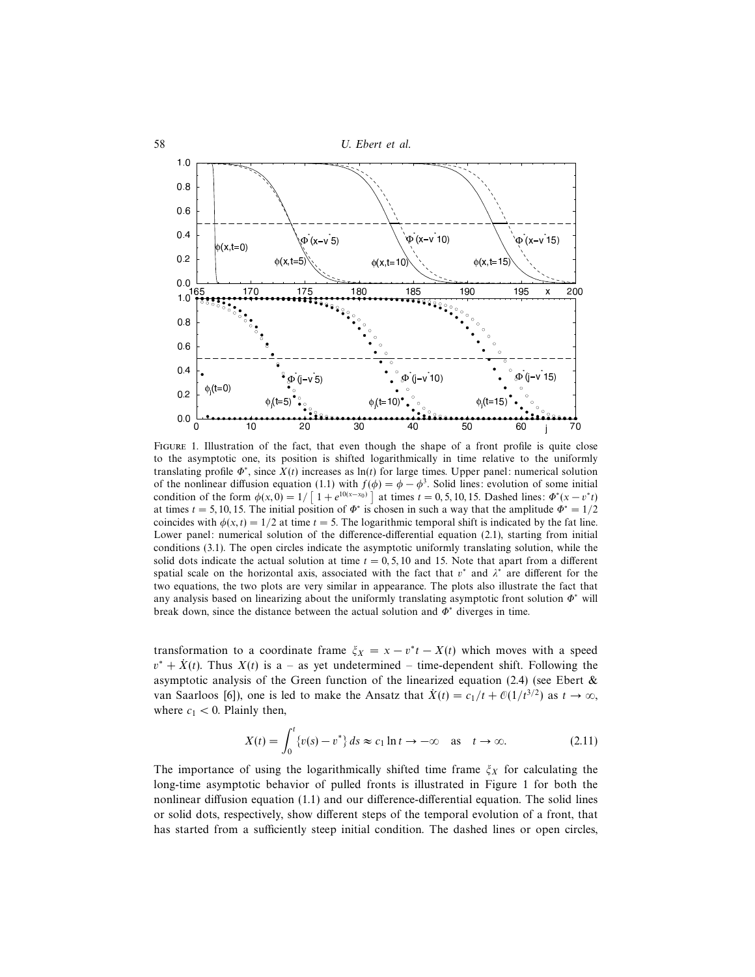

Figure 1. Illustration of the fact, that even though the shape of a front profile is quite close to the asymptotic one, its position is shifted logarithmically in time relative to the uniformly translating profile  $\Phi^*$ , since  $X(t)$  increases as ln(t) for large times. Upper panel: numerical solution of the nonlinear diffusion equation (1.1) with  $f(\phi) = \phi - \phi^3$ . Solid lines: evolution of some initial condition of the form  $\phi(x, 0) = 1/\left[1 + e^{10(x-x_0)}\right]$  at times  $t = 0, 5, 10, 15$ . Dashed lines:  $\Phi^*(x - v^*t)$ at times  $t = 5, 10, 15$ . The initial position of  $\Phi^*$  is chosen in such a way that the amplitude  $\Phi^* = 1/2$ coincides with  $\phi(x, t) = 1/2$  at time  $t = 5$ . The logarithmic temporal shift is indicated by the fat line. Lower panel: numerical solution of the difference-differential equation (2.1), starting from initial conditions (3.1). The open circles indicate the asymptotic uniformly translating solution, while the solid dots indicate the actual solution at time  $t = 0, 5, 10$  and 15. Note that apart from a different spatial scale on the horizontal axis, associated with the fact that  $v^*$  and  $\lambda^*$  are different for the two equations, the two plots are very similar in appearance. The plots also illustrate the fact that any analysis based on linearizing about the uniformly translating asymptotic front solution  $\Phi^*$  will break down, since the distance between the actual solution and  $\Phi^*$  diverges in time.

transformation to a coordinate frame  $\xi_X = x - v^*t - X(t)$  which moves with a speed  $v^* + \dot{X}(t)$ . Thus  $X(t)$  is a – as yet undetermined – time-dependent shift. Following the asymptotic analysis of the Green function of the linearized equation (2.4) (see Ebert  $\&$ van Saarloos [6]), one is led to make the Ansatz that  $\dot{X}(t) = c_1/t + \mathcal{O}(1/t^{3/2})$  as  $t \to \infty$ , where  $c_1 < 0$ . Plainly then,

$$
X(t) = \int_0^t \{v(s) - v^*\} ds \approx c_1 \ln t \to -\infty \quad \text{as} \quad t \to \infty. \tag{2.11}
$$

The importance of using the logarithmically shifted time frame  $\xi_X$  for calculating the long-time asymptotic behavior of pulled fronts is illustrated in Figure 1 for both the nonlinear diffusion equation (1.1) and our difference-differential equation. The solid lines or solid dots, respectively, show different steps of the temporal evolution of a front, that has started from a sufficiently steep initial condition. The dashed lines or open circles,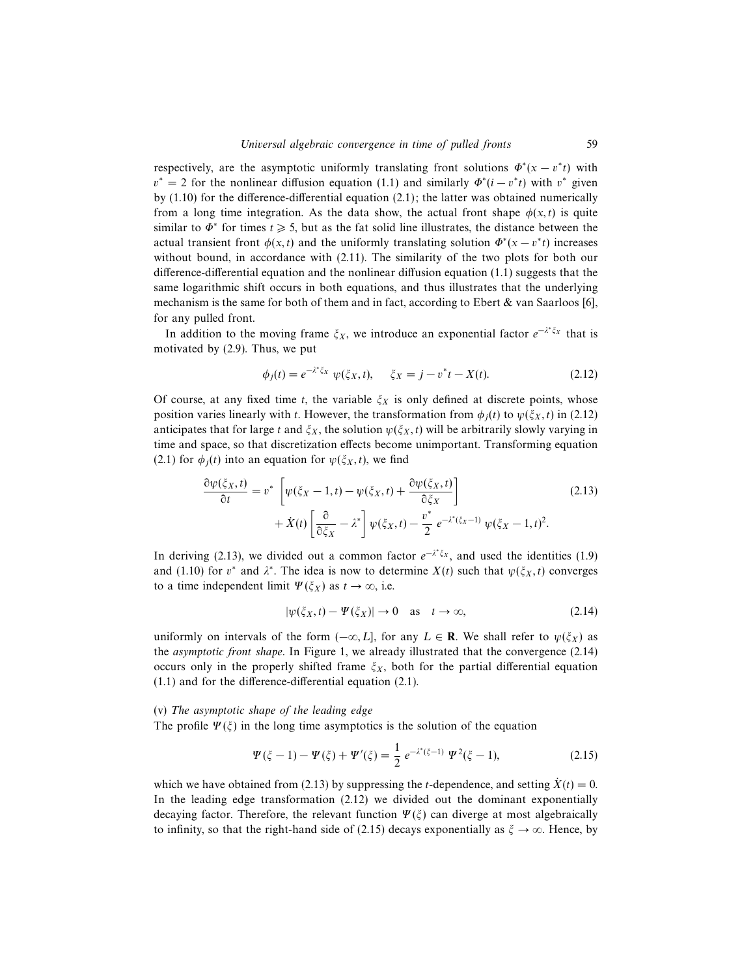respectively, are the asymptotic uniformly translating front solutions  $\Phi^*(x - v^*t)$  with  $v^* = 2$  for the nonlinear diffusion equation (1.1) and similarly  $\Phi^*(i - v^*t)$  with  $v^*$  given by (1.10) for the difference-differential equation (2.1); the latter was obtained numerically from a long time integration. As the data show, the actual front shape  $\phi(x, t)$  is quite similar to  $\Phi^*$  for times  $t \geq 5$ , but as the fat solid line illustrates, the distance between the actual transient front  $\phi(x,t)$  and the uniformly translating solution  $\Phi^*(x - v^*t)$  increases without bound, in accordance with (2.11). The similarity of the two plots for both our difference-differential equation and the nonlinear diffusion equation (1.1) suggests that the same logarithmic shift occurs in both equations, and thus illustrates that the underlying mechanism is the same for both of them and in fact, according to Ebert  $\&$  van Saarloos [6], for any pulled front.

In addition to the moving frame  $\xi_X$ , we introduce an exponential factor  $e^{-\lambda^* \xi_X}$  that is motivated by (2.9). Thus, we put

$$
\phi_j(t) = e^{-\lambda^* \xi_X} \psi(\xi_X, t), \quad \xi_X = j - v^* t - X(t). \tag{2.12}
$$

Of course, at any fixed time t, the variable  $\xi_X$  is only defined at discrete points, whose position varies linearly with t. However, the transformation from  $\phi_i(t)$  to  $\psi(\xi_X, t)$  in (2.12) anticipates that for large t and  $\xi_X$ , the solution  $\psi(\xi_X, t)$  will be arbitrarily slowly varying in time and space, so that discretization effects become unimportant. Transforming equation (2.1) for  $\phi_i(t)$  into an equation for  $\psi(\xi_X, t)$ , we find

$$
\frac{\partial \psi(\xi_X, t)}{\partial t} = v^* \left[ \psi(\xi_X - 1, t) - \psi(\xi_X, t) + \frac{\partial \psi(\xi_X, t)}{\partial \xi_X} \right] + \dot{X}(t) \left[ \frac{\partial}{\partial \xi_X} - \lambda^* \right] \psi(\xi_X, t) - \frac{v^*}{2} e^{-\lambda^*(\xi_X - 1)} \psi(\xi_X - 1, t)^2.
$$
\n(2.13)

In deriving (2.13), we divided out a common factor  $e^{-\lambda^* \xi_x}$ , and used the identities (1.9) and (1.10) for  $v^*$  and  $\lambda^*$ . The idea is now to determine  $X(t)$  such that  $\psi(\xi_X, t)$  converges to a time independent limit  $\Psi(\xi_X)$  as  $t \to \infty$ , i.e.

$$
|\psi(\xi_X, t) - \Psi(\xi_X)| \to 0 \quad \text{as} \quad t \to \infty,
$$
\n(2.14)

uniformly on intervals of the form  $(-\infty, L]$ , for any  $L \in \mathbf{R}$ . We shall refer to  $\psi(\xi_X)$  as the asymptotic front shape. In Figure 1, we already illustrated that the convergence (2.14) occurs only in the properly shifted frame  $\xi_X$ , both for the partial differential equation (1.1) and for the difference-differential equation (2.1).

## (v) The asymptotic shape of the leading edge

The profile  $\Psi(\xi)$  in the long time asymptotics is the solution of the equation

$$
\Psi(\xi - 1) - \Psi(\xi) + \Psi'(\xi) = \frac{1}{2} e^{-\lambda^*(\xi - 1)} \Psi^2(\xi - 1),
$$
\n(2.15)

which we have obtained from (2.13) by suppressing the *t*-dependence, and setting  $\dot{X}(t)=0$ . In the leading edge transformation (2.12) we divided out the dominant exponentially decaying factor. Therefore, the relevant function  $\Psi(\xi)$  can diverge at most algebraically to infinity, so that the right-hand side of (2.15) decays exponentially as  $\xi \to \infty$ . Hence, by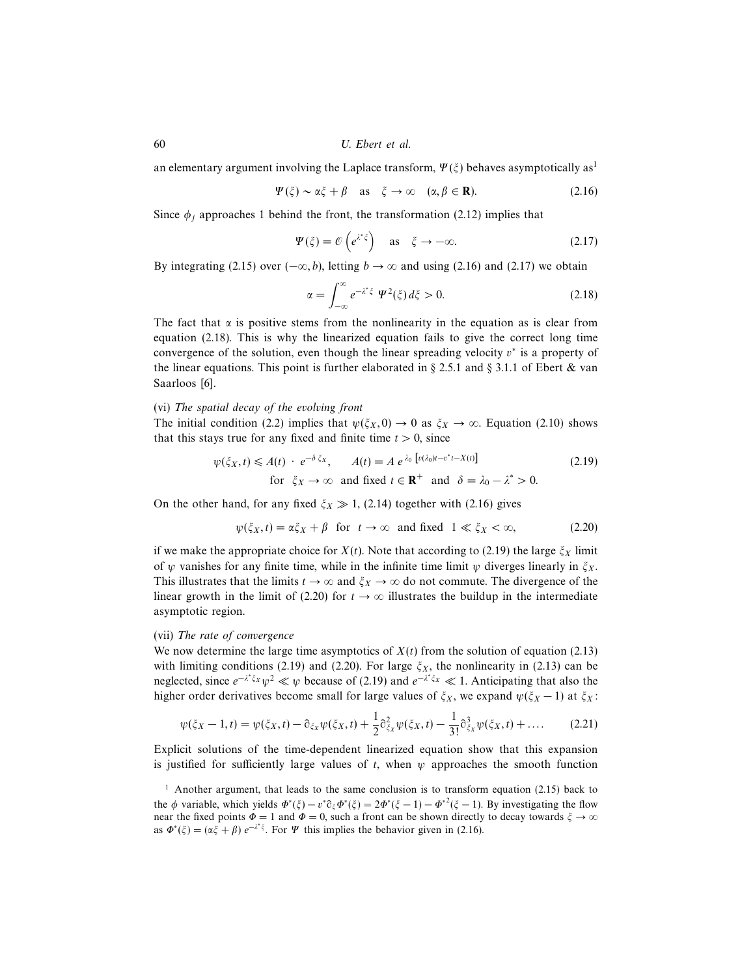an elementary argument involving the Laplace transform,  $\Psi(\xi)$  behaves asymptotically as<sup>1</sup>

$$
\Psi(\xi) \sim \alpha \xi + \beta \quad \text{as} \quad \xi \to \infty \quad (\alpha, \beta \in \mathbf{R}). \tag{2.16}
$$

Since  $\phi_i$  approaches 1 behind the front, the transformation (2.12) implies that

$$
\Psi(\xi) = \mathcal{O}\left(e^{\lambda^* \xi}\right) \quad \text{as} \quad \xi \to -\infty. \tag{2.17}
$$

By integrating (2.15) over  $(-\infty, b)$ , letting  $b \to \infty$  and using (2.16) and (2.17) we obtain

$$
\alpha = \int_{-\infty}^{\infty} e^{-\lambda^* \xi} \Psi^2(\xi) d\xi > 0.
$$
 (2.18)

The fact that  $\alpha$  is positive stems from the nonlinearity in the equation as is clear from equation (2.18). This is why the linearized equation fails to give the correct long time convergence of the solution, even though the linear spreading velocity  $v^*$  is a property of the linear equations. This point is further elaborated in § 2.5.1 and § 3.1.1 of Ebert & van Saarloos [6].

## (vi) The spatial decay of the evolving front

The initial condition (2.2) implies that  $\psi(\xi_X, 0) \to 0$  as  $\xi_X \to \infty$ . Equation (2.10) shows that this stays true for any fixed and finite time  $t > 0$ , since

$$
\psi(\xi_X, t) \le A(t) \cdot e^{-\delta \xi_X}, \qquad A(t) = A \, e^{\lambda_0 \left[ v(\lambda_0)t - v^*t - X(t) \right]} \tag{2.19}
$$
\n
$$
\text{for } \xi_X \to \infty \text{ and fixed } t \in \mathbb{R}^+ \text{ and } \delta = \lambda_0 - \lambda^* > 0.
$$

On the other hand, for any fixed  $\xi_X \gg 1$ , (2.14) together with (2.16) gives

$$
\psi(\xi_X, t) = \alpha \xi_X + \beta \quad \text{for} \quad t \to \infty \quad \text{and fixed} \quad 1 \ll \xi_X < \infty,
$$
 (2.20)

if we make the appropriate choice for  $X(t)$ . Note that according to (2.19) the large  $\zeta_X$  limit of  $\psi$  vanishes for any finite time, while in the infinite time limit  $\psi$  diverges linearly in  $\xi_X$ . This illustrates that the limits  $t \to \infty$  and  $\xi_X \to \infty$  do not commute. The divergence of the linear growth in the limit of (2.20) for  $t \to \infty$  illustrates the buildup in the intermediate asymptotic region.

### (vii) The rate of convergence

We now determine the large time asymptotics of  $X(t)$  from the solution of equation (2.13) with limiting conditions (2.19) and (2.20). For large  $\xi_X$ , the nonlinearity in (2.13) can be neglected, since  $e^{-\lambda^* \xi x} \psi^2 \ll \psi$  because of (2.19) and  $e^{-\lambda^* \xi x} \ll 1$ . Anticipating that also the higher order derivatives become small for large values of  $\xi_X$ , we expand  $\psi(\xi_X - 1)$  at  $\xi_X$ :

$$
\psi(\xi_X - 1, t) = \psi(\xi_X, t) - \partial_{\xi_X} \psi(\xi_X, t) + \frac{1}{2} \partial_{\xi_X}^2 \psi(\xi_X, t) - \frac{1}{3!} \partial_{\xi_X}^3 \psi(\xi_X, t) + \dots
$$
 (2.21)

Explicit solutions of the time-dependent linearized equation show that this expansion is justified for sufficiently large values of t, when  $\psi$  approaches the smooth function

<sup>&</sup>lt;sup>1</sup> Another argument, that leads to the same conclusion is to transform equation (2.15) back to the φ variable, which yields  $\Phi^*(\xi) - v^* \partial_{\xi} \Phi^*(\xi) = 2\Phi^*(\xi - 1) - \Phi^{*2}(\xi - 1)$ . By investigating the flow near the fixed points  $\Phi = 1$  and  $\Phi = 0$ , such a front can be shown directly to decay towards  $\xi \to \infty$ as  $\Phi^*(\xi) = (\alpha \xi + \beta) e^{-\lambda^* \xi}$ . For  $\Psi$  this implies the behavior given in (2.16).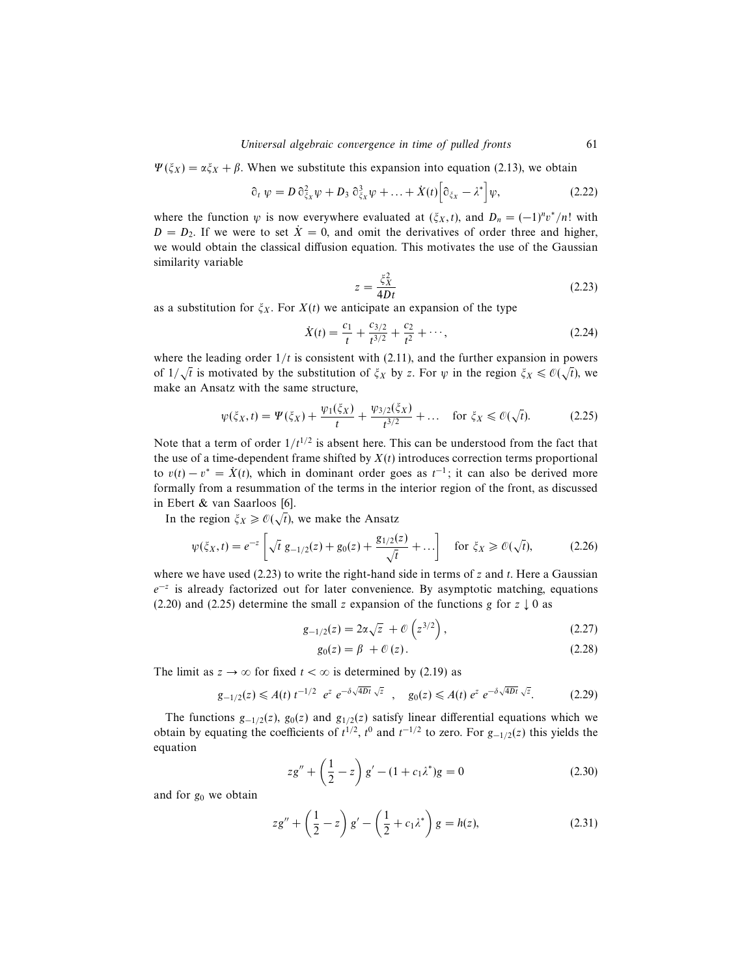$\Psi(\xi_X) = \alpha \xi_X + \beta$ . When we substitute this expansion into equation (2.13), we obtain

$$
\partial_t \psi = D \partial_{\xi_X}^2 \psi + D_3 \partial_{\xi_X}^3 \psi + \ldots + \dot{X}(t) \Big[ \partial_{\xi_X} - \lambda^* \Big] \psi, \tag{2.22}
$$

where the function  $\psi$  is now everywhere evaluated at  $(\xi_X, t)$ , and  $D_n = (-1)^n v^* / n!$  with  $D = D_2$ . If we were to set  $\dot{X} = 0$ , and omit the derivatives of order three and higher, we would obtain the classical diffusion equation. This motivates the use of the Gaussian similarity variable

$$
z = \frac{\xi_X^2}{4Dt} \tag{2.23}
$$

as a substitution for  $\xi_X$ . For  $X(t)$  we anticipate an expansion of the type

$$
\dot{X}(t) = \frac{c_1}{t} + \frac{c_{3/2}}{t^{3/2}} + \frac{c_2}{t^2} + \cdots,\tag{2.24}
$$

where the leading order  $1/t$  is consistent with (2.11), and the further expansion in powers of  $1/\sqrt{t}$  is motivated by the substitution of  $\xi_X$  by z. For  $\psi$  in the region  $\xi_X \leq \mathcal{O}(\sqrt{t})$ , we make an Ansatz with the same structure,

$$
\psi(\xi_X, t) = \Psi(\xi_X) + \frac{\psi_1(\xi_X)}{t} + \frac{\psi_3}{2}(\xi_X) + \dots \quad \text{for } \xi_X \leq \mathcal{O}(\sqrt{t}).\tag{2.25}
$$

Note that a term of order  $1/t^{1/2}$  is absent here. This can be understood from the fact that the use of a time-dependent frame shifted by  $X(t)$  introduces correction terms proportional to  $v(t) - v^* = \dot{X}(t)$ , which in dominant order goes as  $t^{-1}$ ; it can also be derived more formally from a resummation of the terms in the interior region of the front, as discussed in Ebert & van Saarloos [6].

In the region  $\xi_X \geq \mathcal{O}(\sqrt{t})$ , we make the Ansatz

$$
\psi(\xi_X, t) = e^{-z} \left[ \sqrt{t} \ g_{-1/2}(z) + g_0(z) + \frac{g_{1/2}(z)}{\sqrt{t}} + \dots \right] \quad \text{for } \xi_X \geq \mathcal{O}(\sqrt{t}), \tag{2.26}
$$

where we have used (2.23) to write the right-hand side in terms of z and t. Here a Gaussian  $e^{-z}$  is already factorized out for later convenience. By asymptotic matching, equations (2.20) and (2.25) determine the small z expansion of the functions g for  $z \downarrow 0$  as

$$
g_{-1/2}(z) = 2\alpha\sqrt{z} + \mathcal{O}\left(z^{3/2}\right),\tag{2.27}
$$

$$
g_0(z) = \beta + \mathcal{O}(z). \tag{2.28}
$$

The limit as  $z \to \infty$  for fixed  $t < \infty$  is determined by (2.19) as

$$
g_{-1/2}(z) \leq A(t) \ t^{-1/2} \ e^z \ e^{-\delta \sqrt{4Dt}} \ \sqrt{z} \ , \quad g_0(z) \leq A(t) \ e^z \ e^{-\delta \sqrt{4Dt}} \ \sqrt{z} . \tag{2.29}
$$

The functions  $g_{-1/2}(z)$ ,  $g_0(z)$  and  $g_{1/2}(z)$  satisfy linear differential equations which we obtain by equating the coefficients of  $t^{1/2}$ ,  $t^0$  and  $t^{-1/2}$  to zero. For  $g_{-1/2}(z)$  this yields the equation

$$
zg'' + \left(\frac{1}{2} - z\right)g' - (1 + c_1\lambda^*)g = 0\tag{2.30}
$$

and for  $g_0$  we obtain

$$
z g'' + \left(\frac{1}{2} - z\right) g' - \left(\frac{1}{2} + c_1 \lambda^*\right) g = h(z),
$$
 (2.31)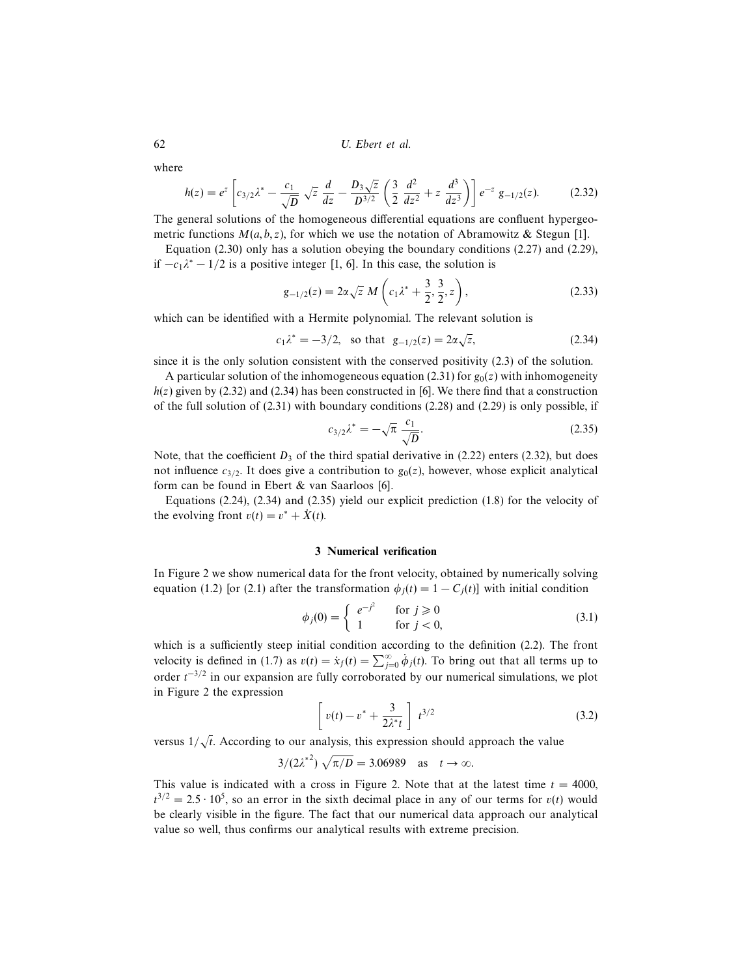where

$$
h(z) = e^z \left[ c_{3/2} \lambda^* - \frac{c_1}{\sqrt{D}} \sqrt{z} \frac{d}{dz} - \frac{D_3 \sqrt{z}}{D^{3/2}} \left( \frac{3}{2} \frac{d^2}{dz^2} + z \frac{d^3}{dz^3} \right) \right] e^{-z} g_{-1/2}(z). \tag{2.32}
$$

The general solutions of the homogeneous differential equations are confluent hypergeometric functions  $M(a, b, z)$ , for which we use the notation of Abramowitz & Stegun [1].

Equation (2.30) only has a solution obeying the boundary conditions (2.27) and (2.29), if  $-c_1\lambda^* - 1/2$  is a positive integer [1, 6]. In this case, the solution is

$$
g_{-1/2}(z) = 2\alpha\sqrt{z} M \left(c_1 \lambda^* + \frac{3}{2}, \frac{3}{2}, z\right),
$$
 (2.33)

which can be identified with a Hermite polynomial. The relevant solution is

$$
c_1 \lambda^* = -3/2
$$
, so that  $g_{-1/2}(z) = 2\alpha \sqrt{z}$ , (2.34)

since it is the only solution consistent with the conserved positivity (2.3) of the solution.

A particular solution of the inhomogeneous equation (2.31) for  $g_0(z)$  with inhomogeneity  $h(z)$  given by (2.32) and (2.34) has been constructed in [6]. We there find that a construction of the full solution of  $(2.31)$  with boundary conditions  $(2.28)$  and  $(2.29)$  is only possible, if

$$
c_{3/2}\lambda^* = -\sqrt{\pi} \frac{c_1}{\sqrt{D}}.\tag{2.35}
$$

Note, that the coefficient  $D_3$  of the third spatial derivative in (2.22) enters (2.32), but does not influence  $c_{3/2}$ . It does give a contribution to  $g_0(z)$ , however, whose explicit analytical form can be found in Ebert & van Saarloos [6].

Equations  $(2.24)$ ,  $(2.34)$  and  $(2.35)$  yield our explicit prediction  $(1.8)$  for the velocity of the evolving front  $v(t) = v^* + \dot{X}(t)$ .

## 3 Numerical verification

In Figure 2 we show numerical data for the front velocity, obtained by numerically solving equation (1.2) [or (2.1) after the transformation  $\phi_i(t)=1 - C_i(t)$ ] with initial condition

$$
\phi_j(0) = \begin{cases} e^{-j^2} & \text{for } j \ge 0\\ 1 & \text{for } j < 0, \end{cases}
$$
\n(3.1)

which is a sufficiently steep initial condition according to the definition (2.2). The front velocity is defined in (1.7) as  $v(t) = \dot{x}_f(t) = \sum_{j=0}^{\infty} \dot{\phi}_j(t)$ . To bring out that all terms up to order  $t^{-3/2}$  in our expansion are fully corroborated by our numerical simulations, we plot in Figure 2 the expression

$$
\left[v(t) - v^* + \frac{3}{2\lambda^* t}\right] t^{3/2} \tag{3.2}
$$

versus  $1/\sqrt{t}$ . According to our analysis, this expression should approach the value

$$
3/(2\lambda^{*2})\sqrt{\pi/D} = 3.06989 \quad \text{as} \quad t \to \infty.
$$

This value is indicated with a cross in Figure 2. Note that at the latest time  $t = 4000$ ,  $t^{3/2} = 2.5 \cdot 10^5$ , so an error in the sixth decimal place in any of our terms for  $v(t)$  would be clearly visible in the figure. The fact that our numerical data approach our analytical value so well, thus confirms our analytical results with extreme precision.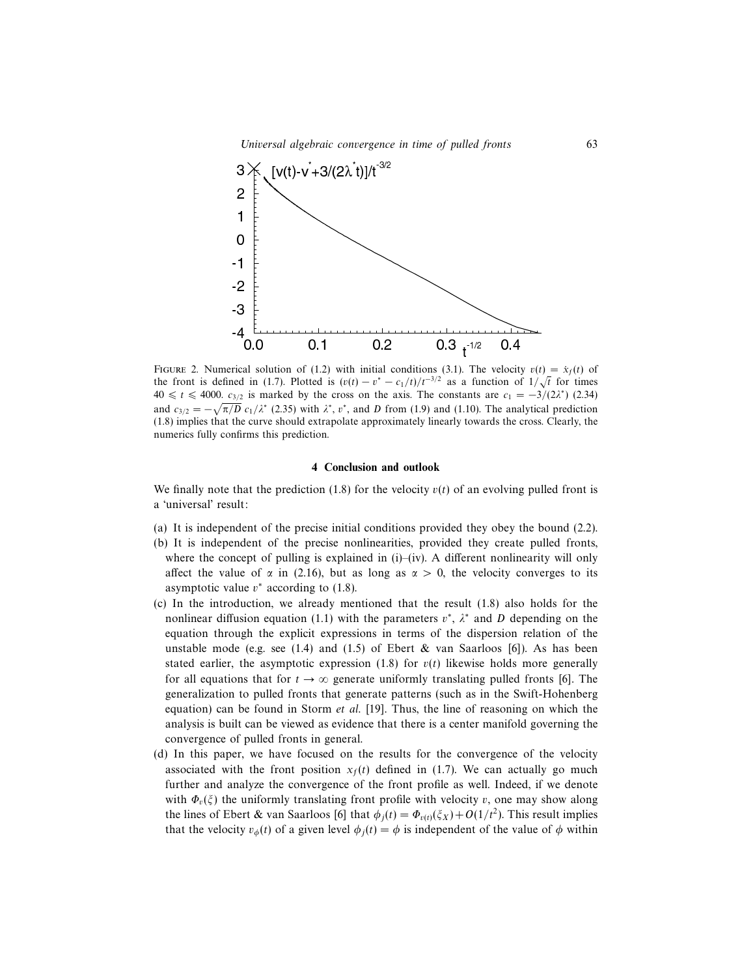

FIGURE 2. Numerical solution of (1.2) with initial conditions (3.1). The velocity  $v(t) = \dot{x}_f(t)$  of the front is defined in (1.7). Plotted is  $(v(t) - v^* - c_1/t)/t^{-3/2}$  as a function of  $1/\sqrt{t}$  for times  $40 \le t \le 4000$ .  $c_{3/2}$  is marked by the cross on the axis. The constants are  $c_1 = -3/(2\lambda^*)$  (2.34) and  $c_{3/2} = -\sqrt{\pi/D} \ c_1/\lambda^*$  (2.35) with  $\lambda^*$ ,  $v^*$ , and D from (1.9) and (1.10). The analytical prediction (1.8) implies that the curve should extrapolate approximately linearly towards the cross. Clearly, the numerics fully confirms this prediction.

## 4 Conclusion and outlook

We finally note that the prediction (1.8) for the velocity  $v(t)$  of an evolving pulled front is a 'universal' result:

- (a) It is independent of the precise initial conditions provided they obey the bound (2.2).
- (b) It is independent of the precise nonlinearities, provided they create pulled fronts, where the concept of pulling is explained in  $(i)$ – $(iv)$ . A different nonlinearity will only affect the value of  $\alpha$  in (2.16), but as long as  $\alpha > 0$ , the velocity converges to its asymptotic value  $v^*$  according to (1.8).
- (c) In the introduction, we already mentioned that the result (1.8) also holds for the nonlinear diffusion equation (1.1) with the parameters  $v^*$ ,  $\lambda^*$  and D depending on the equation through the explicit expressions in terms of the dispersion relation of the unstable mode (e.g. see  $(1.4)$  and  $(1.5)$  of Ebert & van Saarloos [6]). As has been stated earlier, the asymptotic expression (1.8) for  $v(t)$  likewise holds more generally for all equations that for  $t \to \infty$  generate uniformly translating pulled fronts [6]. The generalization to pulled fronts that generate patterns (such as in the Swift-Hohenberg equation) can be found in Storm *et al.* [19]. Thus, the line of reasoning on which the analysis is built can be viewed as evidence that there is a center manifold governing the convergence of pulled fronts in general.
- (d) In this paper, we have focused on the results for the convergence of the velocity associated with the front position  $x<sub>f</sub>(t)$  defined in (1.7). We can actually go much further and analyze the convergence of the front profile as well. Indeed, if we denote with  $\Phi_{\nu}(\xi)$  the uniformly translating front profile with velocity v, one may show along the lines of Ebert & van Saarloos [6] that  $\phi_j(t) = \Phi_{v(t)}(\xi_X) + O(1/t^2)$ . This result implies that the velocity  $v_{\phi}(t)$  of a given level  $\phi_i(t) = \phi$  is independent of the value of  $\phi$  within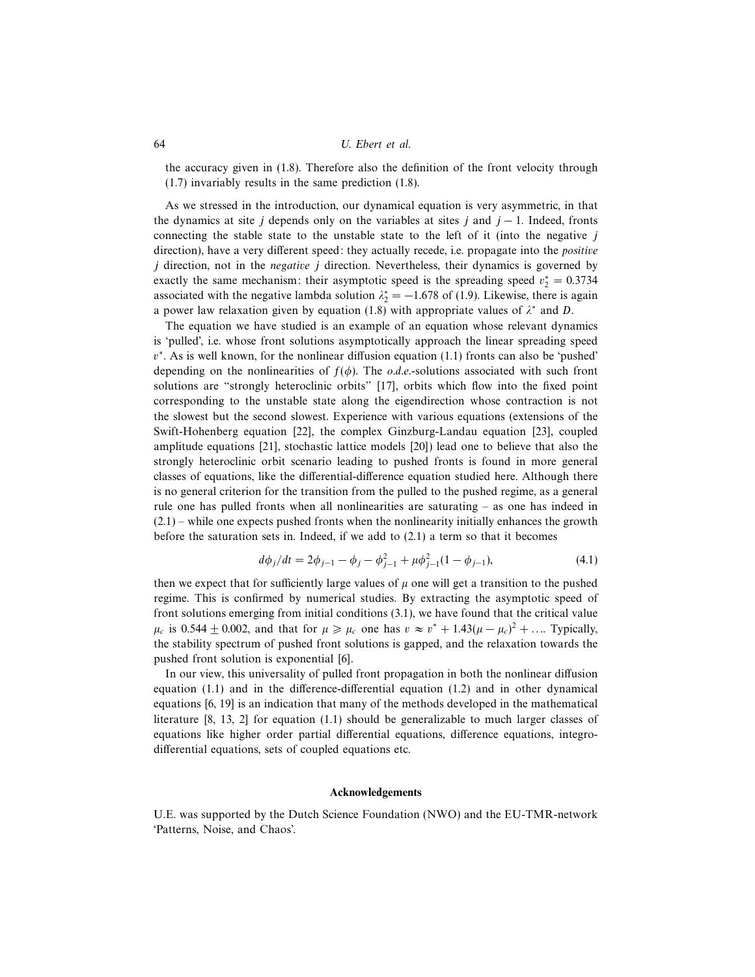the accuracy given in (1.8). Therefore also the definition of the front velocity through (1.7) invariably results in the same prediction (1.8).

As we stressed in the introduction, our dynamical equation is very asymmetric, in that the dynamics at site j depends only on the variables at sites j and  $j - 1$ . Indeed, fronts connecting the stable state to the unstable state to the left of it (into the negative  $j$ direction), have a very different speed: they actually recede, i.e. propagate into the *positive*  $j$  direction, not in the *negative*  $j$  direction. Nevertheless, their dynamics is governed by exactly the same mechanism: their asymptotic speed is the spreading speed  $v_2^* = 0.3734$ associated with the negative lambda solution  $\lambda_2^* = -1.678$  of (1.9). Likewise, there is again a power law relaxation given by equation (1.8) with appropriate values of  $\lambda^*$  and D.

The equation we have studied is an example of an equation whose relevant dynamics is 'pulled', i.e. whose front solutions asymptotically approach the linear spreading speed v ∗ . As is well known, for the nonlinear diffusion equation (1.1) fronts can also be 'pushed' depending on the nonlinearities of  $f(\phi)$ . The *o.d.e.*-solutions associated with such front solutions are "strongly heteroclinic orbits" [17], orbits which flow into the fixed point corresponding to the unstable state along the eigendirection whose contraction is not the slowest but the second slowest. Experience with various equations (extensions of the Swift-Hohenberg equation [22], the complex Ginzburg-Landau equation [23], coupled amplitude equations [21], stochastic lattice models [20]) lead one to believe that also the strongly heteroclinic orbit scenario leading to pushed fronts is found in more general classes of equations, like the differential-difference equation studied here. Although there is no general criterion for the transition from the pulled to the pushed regime, as a general rule one has pulled fronts when all nonlinearities are saturating – as one has indeed in  $(2.1)$  – while one expects pushed fronts when the nonlinearity initially enhances the growth before the saturation sets in. Indeed, if we add to (2.1) a term so that it becomes

$$
d\phi_j/dt = 2\phi_{j-1} - \phi_j - \phi_{j-1}^2 + \mu \phi_{j-1}^2 (1 - \phi_{j-1}),
$$
\n(4.1)

then we expect that for sufficiently large values of  $\mu$  one will get a transition to the pushed regime. This is confirmed by numerical studies. By extracting the asymptotic speed of front solutions emerging from initial conditions (3.1), we have found that the critical value  $\mu_c$  is 0.544  $\pm$  0.002, and that for  $\mu \ge \mu_c$  one has  $v \approx v^* + 1.43(\mu - \mu_c)^2 + ...$  Typically, the stability spectrum of pushed front solutions is gapped, and the relaxation towards the pushed front solution is exponential [6].

In our view, this universality of pulled front propagation in both the nonlinear diffusion equation (1.1) and in the difference-differential equation (1.2) and in other dynamical equations [6, 19] is an indication that many of the methods developed in the mathematical literature [8, 13, 2] for equation (1.1) should be generalizable to much larger classes of equations like higher order partial differential equations, difference equations, integrodifferential equations, sets of coupled equations etc.

## Acknowledgements

U.E. was supported by the Dutch Science Foundation (NWO) and the EU-TMR-network 'Patterns, Noise, and Chaos'.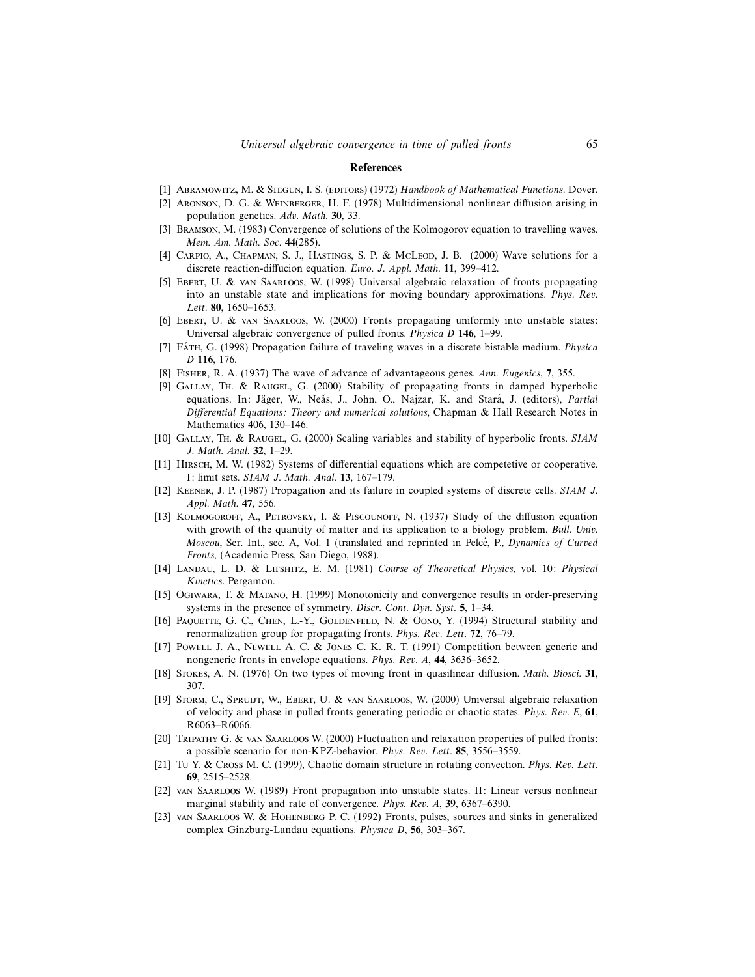#### References

- [1] ABRAMOWITZ, M. & STEGUN, I. S. (EDITORS) (1972) Handbook of Mathematical Functions. Dover.
- [2] Aronson, D. G. & Weinberger, H. F. (1978) Multidimensional nonlinear diffusion arising in population genetics. Adv. Math. 30, 33.
- [3] Bramson, M. (1983) Convergence of solutions of the Kolmogorov equation to travelling waves. Mem. Am. Math. Soc. 44(285).
- [4] CARPIO, A., CHAPMAN, S. J., HASTINGS, S. P. & McLeod, J. B. (2000) Wave solutions for a discrete reaction-diffucion equation. Euro. J. Appl. Math. 11, 399–412.
- [5] Ebert, U. & van Saarloos, W. (1998) Universal algebraic relaxation of fronts propagating into an unstable state and implications for moving boundary approximations. Phys. Rev. Lett. 80, 1650–1653.
- [6] Ebert, U. & van Saarloos, W. (2000) Fronts propagating uniformly into unstable states: Universal algebraic convergence of pulled fronts. Physica D 146, 1–99.
- [7] FATH, G. (1998) Propagation failure of traveling waves in a discrete bistable medium. Physica D 116, 176.
- [8] Fisher, R. A. (1937) The wave of advance of advantageous genes. Ann. Eugenics, 7, 355.
- [9] Gallay, Th. & Raugel, G. (2000) Stability of propagating fronts in damped hyperbolic equations. In: Jäger, W., Neǎs, J., John, O., Najzar, K. and Stará, J. (editors), Partial Differential Equations: Theory and numerical solutions, Chapman & Hall Research Notes in Mathematics 406, 130–146.
- [10] GALLAY, TH. & RAUGEL, G. (2000) Scaling variables and stability of hyperbolic fronts. SIAM J. Math. Anal. 32, 1–29.
- [11] HIRSCH, M. W. (1982) Systems of differential equations which are competetive or cooperative. I: limit sets. SIAM J. Math. Anal. 13, 167–179.
- [12] Keener, J. P. (1987) Propagation and its failure in coupled systems of discrete cells. SIAM J. Appl. Math. 47, 556.
- [13] KOLMOGOROFF, A., PETROVSKY, I. & PISCOUNOFF, N. (1937) Study of the diffusion equation with growth of the quantity of matter and its application to a biology problem. Bull. Univ. Moscou, Ser. Int., sec. A, Vol. 1 (translated and reprinted in Pelcé, P., Dynamics of Curved Fronts, (Academic Press, San Diego, 1988).
- [14] LANDAU, L. D. & LIFSHITZ, E. M. (1981) Course of Theoretical Physics, vol. 10: Physical Kinetics. Pergamon.
- [15] Ogiwara, T. & Matano, H. (1999) Monotonicity and convergence results in order-preserving systems in the presence of symmetry. Discr. Cont. Dyn. Syst. 5, 1–34.
- [16] PAQUETTE, G. C., CHEN, L.-Y., GOLDENFELD, N. & OONO, Y. (1994) Structural stability and renormalization group for propagating fronts. Phys. Rev. Lett. 72, 76–79.
- [17] Powell J. A., Newell A. C. & Jones C. K. R. T. (1991) Competition between generic and nongeneric fronts in envelope equations. Phys. Rev. A, 44, 3636–3652.
- [18] Stokes, A. N. (1976) On two types of moving front in quasilinear diffusion. Math. Biosci. 31, 307.
- [19] STORM, C., SPRUIJT, W., EBERT, U. & VAN SAARLOOS, W. (2000) Universal algebraic relaxation of velocity and phase in pulled fronts generating periodic or chaotic states. Phys. Rev. E, 61, R6063–R6066.
- [20] Tripathy G. & van Saarloos W. (2000) Fluctuation and relaxation properties of pulled fronts: a possible scenario for non-KPZ-behavior. Phys. Rev. Lett. 85, 3556–3559.
- [21] Tu Y. & Cross M. C. (1999), Chaotic domain structure in rotating convection. Phys. Rev. Lett. 69, 2515–2528.
- [22] van Saarloos W. (1989) Front propagation into unstable states. II: Linear versus nonlinear marginal stability and rate of convergence. Phys. Rev. A, 39, 6367–6390.
- [23] van Saarloos W. & Hohenberg P. C. (1992) Fronts, pulses, sources and sinks in generalized complex Ginzburg-Landau equations. Physica D, 56, 303–367.